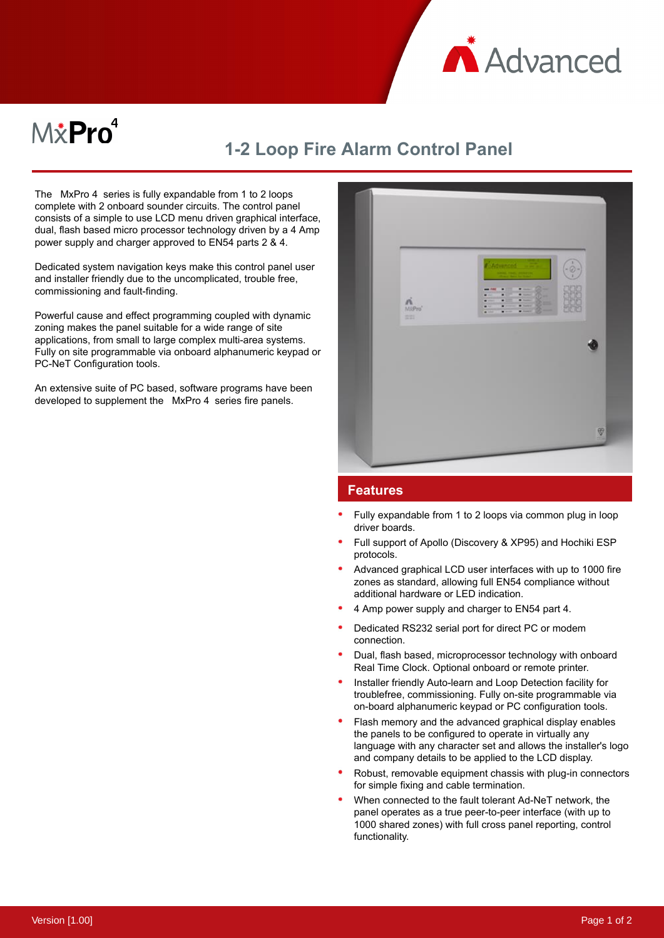

## $M\ddot{x}$ Pro $^4$

## **1-2 Loop Fire Alarm Control Panel**

The MxPro 4 series is fully expandable from 1 to 2 loops complete with 2 onboard sounder circuits. The control panel consists of a simple to use LCD menu driven graphical interface, dual, flash based micro processor technology driven by a 4 Amp power supply and charger approved to EN54 parts 2 & 4.

Dedicated system navigation keys make this control panel user and installer friendly due to the uncomplicated, trouble free, commissioning and fault-finding.

Powerful cause and effect programming coupled with dynamic zoning makes the panel suitable for a wide range of site applications, from small to large complex multi-area systems. Fully on site programmable via onboard alphanumeric keypad or PC-NeT Configuration tools.

An extensive suite of PC based, software programs have been developed to supplement the MxPro 4 series fire panels.



## **Features**

- Fully expandable from 1 to 2 loops via common plug in loop driver boards.
- Full support of Apollo (Discovery & XP95) and Hochiki ESP protocols.
- Advanced graphical LCD user interfaces with up to 1000 fire zones as standard, allowing full EN54 compliance without additional hardware or LED indication.
- 4 Amp power supply and charger to EN54 part 4.
- Dedicated RS232 serial port for direct PC or modem connection.
- Dual, flash based, microprocessor technology with onboard Real Time Clock. Optional onboard or remote printer.
- Installer friendly Auto-learn and Loop Detection facility for troublefree, commissioning. Fully on-site programmable via on-board alphanumeric keypad or PC configuration tools.
- Flash memory and the advanced graphical display enables the panels to be configured to operate in virtually any language with any character set and allows the installer's logo and company details to be applied to the LCD display.
- Robust, removable equipment chassis with plug-in connectors for simple fixing and cable termination.
- When connected to the fault tolerant Ad-NeT network, the panel operates as a true peer-to-peer interface (with up to 1000 shared zones) with full cross panel reporting, control functionality.